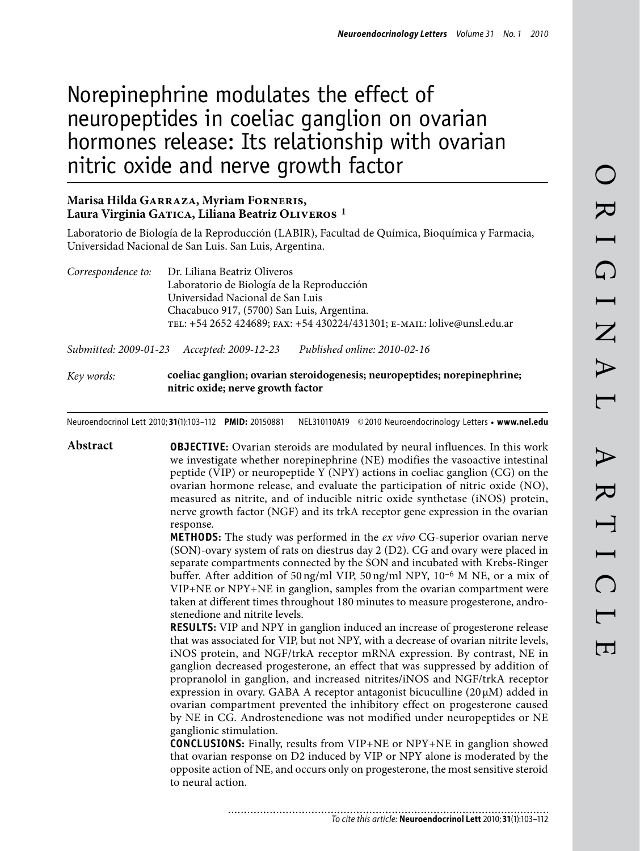# Norepinephrine modulates the effect of neuropeptides in coeliac ganglion on ovarian hormones release: Its relationship with ovarian nitric oxide and nerve growth factor

## **Marisa Hilda Garraza, Myriam Forneris, Laura Virginia Gatica, Liliana Beatriz Oliveros 1**

Laboratorio de Biología de la Reproducción (LABIR), Facultad de Química, Bioquímica y Farmacia, Universidad Nacional de San Luis. San Luis, Argentina.

| Correspondence to: | Dr. Liliana Beatriz Oliveros                                             |
|--------------------|--------------------------------------------------------------------------|
|                    | Laboratorio de Biología de la Reproducción                               |
|                    | Universidad Nacional de San Luis                                         |
|                    | Chacabuco 917, (5700) San Luis, Argentina.                               |
|                    | TEL: +54 2652 424689; FAX: +54 430224/431301; E-MAIL: lolive@unsl.edu.ar |
|                    |                                                                          |

*Submitted: 2009-01-23 Accepted: 2009-12-23 Published online: 2010-02-16*

*Key words:* **coeliac ganglion; ovarian steroidogenesis; neuropeptides; norepinephrine; nitric oxide; nerve growth factor**

Neuroendocrinol Lett 2010; **31**(1):103–112 **PMID:** 20150881 NEL310110A19 ©2010 Neuroendocrinology Letters • **www.nel.edu**

**Abstract OBJECTIVE:** Ovarian steroids are modulated by neural influences. In this work we investigate whether norepinephrine (NE) modifies the vasoactive intestinal peptide (VIP) or neuropeptide Y (NPY) actions in coeliac ganglion (CG) on the ovarian hormone release, and evaluate the participation of nitric oxide (NO), measured as nitrite, and of inducible nitric oxide synthetase (iNOS) protein, nerve growth factor (NGF) and its trkA receptor gene expression in the ovarian response.

**METHODS:** The study was performed in the *ex vivo* CG-superior ovarian nerve (SON)-ovary system of rats on diestrus day 2 (D2). CG and ovary were placed in separate compartments connected by the SON and incubated with Krebs-Ringer buffer. After addition of 50 ng/ml VIP, 50 ng/ml NPY, 10–6 M NE, or a mix of VIP+NE or NPY+NE in ganglion, samples from the ovarian compartment were taken at different times throughout 180 minutes to measure progesterone, androstenedione and nitrite levels.

**RESULTS:** VIP and NPY in ganglion induced an increase of progesterone release that was associated for VIP, but not NPY, with a decrease of ovarian nitrite levels, iNOS protein, and NGF/trkA receptor mRNA expression. By contrast, NE in ganglion decreased progesterone, an effect that was suppressed by addition of propranolol in ganglion, and increased nitrites/iNOS and NGF/trkA receptor expression in ovary. GABA A receptor antagonist bicuculline  $(20 \mu M)$  added in ovarian compartment prevented the inhibitory effect on progesterone caused by NE in CG. Androstenedione was not modified under neuropeptides or NE ganglionic stimulation.

**CONCLUSIONS:** Finally, results from VIP+NE or NPY+NE in ganglion showed that ovarian response on D2 induced by VIP or NPY alone is moderated by the opposite action of NE, and occurs only on progesterone, the most sensitive steroid to neural action.

*To cite this article:* **Neuroendocrinol Lett** 2010; **31**(1):103–112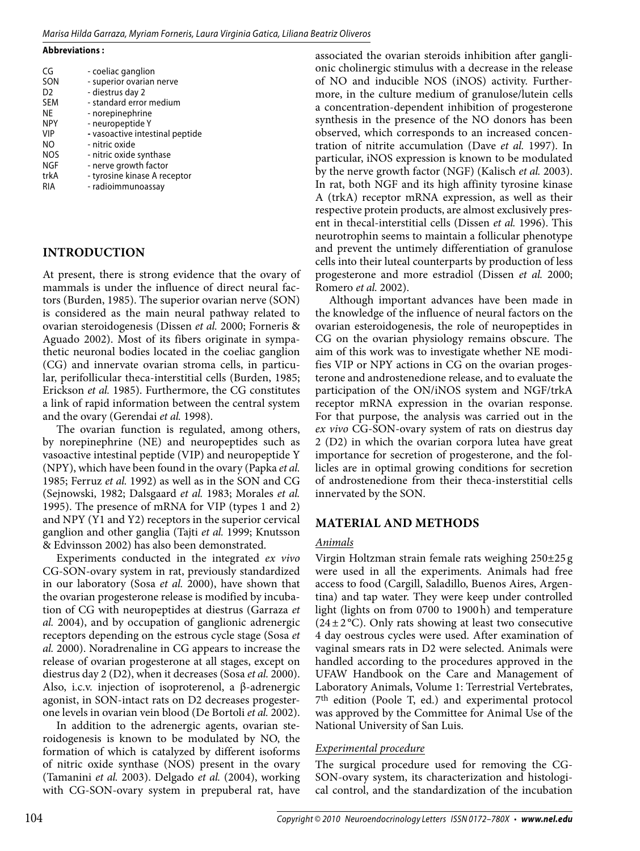#### *Marisa Hilda Garraza, Myriam Forneris, Laura Virginia Gatica, Liliana Beatriz Oliveros*

#### **Abbreviations :**

| CG             | - coeliac ganglion              |
|----------------|---------------------------------|
| SON            | - superior ovarian nerve        |
| D <sub>2</sub> | - diestrus day 2                |
| <b>SEM</b>     | - standard error medium         |
| <b>NE</b>      | - norepinephrine                |
| <b>NPY</b>     | - neuropeptide Y                |
| VIP            | - vasoactive intestinal peptide |
| NO             | - nitric oxide                  |
| <b>NOS</b>     | - nitric oxide synthase         |
| NGF            | - nerve growth factor           |
| trkA           | - tyrosine kinase A receptor    |
| RIA            | - radioimmunoassay              |

#### **Introduction**

At present, there is strong evidence that the ovary of mammals is under the influence of direct neural factors (Burden, 1985). The superior ovarian nerve (SON) is considered as the main neural pathway related to ovarian steroidogenesis (Dissen *et al.* 2000; Forneris & Aguado 2002). Most of its fibers originate in sympathetic neuronal bodies located in the coeliac ganglion (CG) and innervate ovarian stroma cells, in particular, perifollicular theca-interstitial cells (Burden, 1985; Erickson *et al.* 1985). Furthermore, the CG constitutes a link of rapid information between the central system and the ovary (Gerendai *et al.* 1998).

The ovarian function is regulated, among others, by norepinephrine (NE) and neuropeptides such as vasoactive intestinal peptide (VIP) and neuropeptide Y (NPY), which have been found in the ovary (Papka *et al.* 1985; Ferruz *et al.* 1992) as well as in the SON and CG (Sejnowski, 1982; Dalsgaard *et al.* 1983; Morales *et al.* 1995). The presence of mRNA for VIP (types 1 and 2) and NPY (Y1 and Y2) receptors in the superior cervical ganglion and other ganglia (Tajti *et al.* 1999; Knutsson & Edvinsson 2002) has also been demonstrated.

Experiments conducted in the integrated *ex vivo* CG-SON-ovary system in rat, previously standardized in our laboratory (Sosa *et al.* 2000), have shown that the ovarian progesterone release is modified by incubation of CG with neuropeptides at diestrus (Garraza *et al.* 2004), and by occupation of ganglionic adrenergic receptors depending on the estrous cycle stage (Sosa *et al.* 2000). Noradrenaline in CG appears to increase the release of ovarian progesterone at all stages, except on diestrus day 2 (D2), when it decreases (Sosa *et al.* 2000). Also, i.c.v. injection of isoproterenol, a β-adrenergic agonist, in SON-intact rats on D2 decreases progesterone levels in ovarian vein blood (De Bortoli *et al.* 2002).

In addition to the adrenergic agents, ovarian steroidogenesis is known to be modulated by NO, the formation of which is catalyzed by different isoforms of nitric oxide synthase (NOS) present in the ovary (Tamanini *et al.* 2003). Delgado *et al.* (2004), working with CG-SON-ovary system in prepuberal rat, have

associated the ovarian steroids inhibition after ganglionic cholinergic stimulus with a decrease in the release of NO and inducible NOS (iNOS) activity. Furthermore, in the culture medium of granulose/lutein cells a concentration-dependent inhibition of progesterone synthesis in the presence of the NO donors has been observed, which corresponds to an increased concentration of nitrite accumulation (Dave *et al.* 1997). In particular, iNOS expression is known to be modulated by the nerve growth factor (NGF) (Kalisch *et al.* 2003). In rat, both NGF and its high affinity tyrosine kinase A (trkA) receptor mRNA expression, as well as their respective protein products, are almost exclusively present in thecal-interstitial cells (Dissen *et al.* 1996). This neurotrophin seems to maintain a follicular phenotype and prevent the untimely differentiation of granulose cells into their luteal counterparts by production of less progesterone and more estradiol (Dissen *et al.* 2000; Romero *et al.* 2002).

Although important advances have been made in the knowledge of the influence of neural factors on the ovarian esteroidogenesis, the role of neuropeptides in CG on the ovarian physiology remains obscure. The aim of this work was to investigate whether NE modifies VIP or NPY actions in CG on the ovarian progesterone and androstenedione release, and to evaluate the participation of the ON/iNOS system and NGF/trkA receptor mRNA expression in the ovarian response. For that purpose, the analysis was carried out in the *ex vivo* CG-SON-ovary system of rats on diestrus day 2 (D2) in which the ovarian corpora lutea have great importance for secretion of progesterone, and the follicles are in optimal growing conditions for secretion of androstenedione from their theca-insterstitial cells innervated by the SON.

#### **Material and methods**

#### *Animals*

Virgin Holtzman strain female rats weighing 250±25 g were used in all the experiments. Animals had free access to food (Cargill, Saladillo, Buenos Aires, Argentina) and tap water. They were keep under controlled light (lights on from 0700 to 1900h) and temperature  $(24\pm2\degree C)$ . Only rats showing at least two consecutive 4 day oestrous cycles were used. After examination of vaginal smears rats in D2 were selected. Animals were handled according to the procedures approved in the UFAW Handbook on the Care and Management of Laboratory Animals, Volume 1: Terrestrial Vertebrates, 7th edition (Poole T, ed.) and experimental protocol was approved by the Committee for Animal Use of the National University of San Luis.

#### *Experimental procedure*

The surgical procedure used for removing the CG-SON-ovary system, its characterization and histological control, and the standardization of the incubation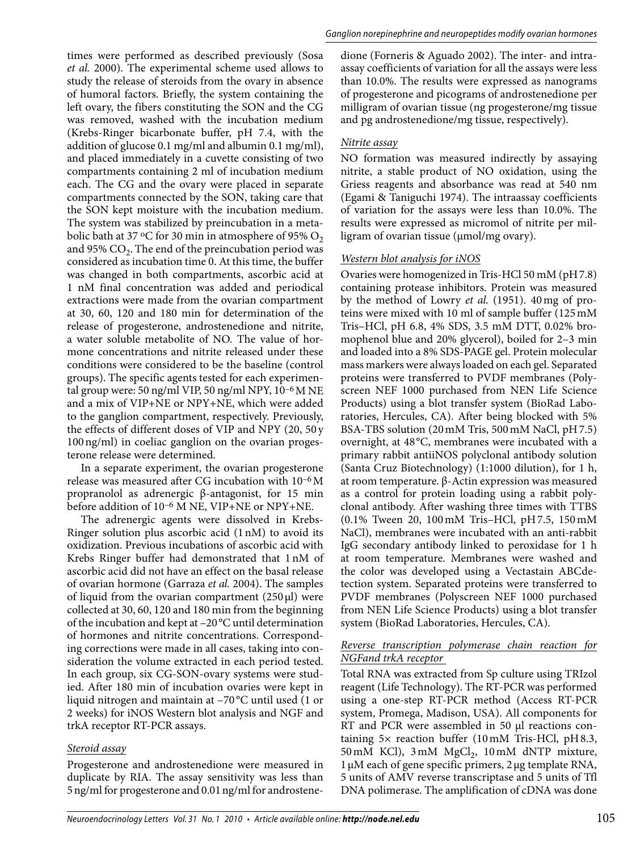times were performed as described previously (Sosa *et al.* 2000). The experimental scheme used allows to study the release of steroids from the ovary in absence of humoral factors. Briefly, the system containing the left ovary, the fibers constituting the SON and the CG was removed, washed with the incubation medium (Krebs-Ringer bicarbonate buffer, pH 7.4, with the addition of glucose 0.1 mg/ml and albumin 0.1 mg/ml), and placed immediately in a cuvette consisting of two compartments containing 2 ml of incubation medium each. The CG and the ovary were placed in separate compartments connected by the SON, taking care that the SON kept moisture with the incubation medium. The system was stabilized by preincubation in a metabolic bath at 37 °C for 30 min in atmosphere of 95%  $O_2$ and 95%  $CO<sub>2</sub>$ . The end of the preincubation period was considered as incubation time 0. At this time, the buffer was changed in both compartments, ascorbic acid at 1 nM final concentration was added and periodical extractions were made from the ovarian compartment at 30, 60, 120 and 180 min for determination of the release of progesterone, androstenedione and nitrite, a water soluble metabolite of NO. The value of hormone concentrations and nitrite released under these conditions were considered to be the baseline (control groups). The specific agents tested for each experimental group were: 50 ng/ml VIP, 50 ng/ml NPY, 10–6M NE and a mix of VIP+NE or NPY+NE, which were added to the ganglion compartment, respectively. Previously, the effects of different doses of VIP and NPY (20, 50 y 100ng/ml) in coeliac ganglion on the ovarian progesterone release were determined.

In a separate experiment, the ovarian progesterone release was measured after CG incubation with 10–6M propranolol as adrenergic β-antagonist, for 15 min before addition of 10–6 M NE, VIP+NE or NPY+NE.

The adrenergic agents were dissolved in Krebs-Ringer solution plus ascorbic acid (1nM) to avoid its oxidization. Previous incubations of ascorbic acid with Krebs Ringer buffer had demonstrated that 1nM of ascorbic acid did not have an effect on the basal release of ovarian hormone (Garraza *et al.* 2004). The samples of liquid from the ovarian compartment  $(250 \,\mu\text{I})$  were collected at 30, 60, 120 and 180 min from the beginning of the incubation and kept at –20°C until determination of hormones and nitrite concentrations. Corresponding corrections were made in all cases, taking into consideration the volume extracted in each period tested. In each group, six CG-SON-ovary systems were studied. After 180 min of incubation ovaries were kept in liquid nitrogen and maintain at –70 °C until used (1 or 2 weeks) for iNOS Western blot analysis and NGF and trkA receptor RT-PCR assays.

#### *Steroid assay*

Progesterone and androstenedione were measured in duplicate by RIA. The assay sensitivity was less than 5ng/ml for progesterone and 0.01ng/ml for androstenedione (Forneris & Aguado 2002). The inter- and intraassay coefficients of variation for all the assays were less than 10.0%. The results were expressed as nanograms of progesterone and picograms of androstenedione per milligram of ovarian tissue (ng progesterone/mg tissue and pg androstenedione/mg tissue, respectively).

#### *Nitrite assay*

NO formation was measured indirectly by assaying nitrite, a stable product of NO oxidation, using the Griess reagents and absorbance was read at 540 nm (Egami & Taniguchi 1974). The intraassay coefficients of variation for the assays were less than 10.0%. The results were expressed as micromol of nitrite per milligram of ovarian tissue (µmol/mg ovary).

### *Western blot analysis for iNOS*

Ovaries were homogenized in Tris-HCl 50 mM (pH7.8) containing protease inhibitors. Protein was measured by the method of Lowry *et al.* (1951). 40mg of proteins were mixed with 10 ml of sample buffer (125mM Tris–HCl, pH 6.8, 4% SDS, 3.5 mM DTT, 0.02% bromophenol blue and 20% glycerol), boiled for 2–3 min and loaded into a 8% SDS-PAGE gel. Protein molecular mass markers were always loaded on each gel. Separated proteins were transferred to PVDF membranes (Polyscreen NEF 1000 purchased from NEN Life Science Products) using a blot transfer system (BioRad Laboratories, Hercules, CA). After being blocked with 5% BSA-TBS solution (20mM Tris, 500mM NaCl, pH7.5) overnight, at 48°C, membranes were incubated with a primary rabbit antiiNOS polyclonal antibody solution (Santa Cruz Biotechnology) (1:1000 dilution), for 1 h, at room temperature. β-Actin expression was measured as a control for protein loading using a rabbit polyclonal antibody. After washing three times with TTBS (0.1% Tween 20, 100mM Tris–HCl, pH7.5, 150mM NaCl), membranes were incubated with an anti-rabbit IgG secondary antibody linked to peroxidase for 1 h at room temperature. Membranes were washed and the color was developed using a Vectastain ABCdetection system. Separated proteins were transferred to PVDF membranes (Polyscreen NEF 1000 purchased from NEN Life Science Products) using a blot transfer system (BioRad Laboratories, Hercules, CA).

#### *Reverse transcription polymerase chain reaction for NGFand trkA receptor*

Total RNA was extracted from Sp culture using TRIzol reagent (Life Technology). The RT-PCR was performed using a one-step RT-PCR method (Access RT-PCR system, Promega, Madison, USA). All components for RT and PCR were assembled in 50 µl reactions containing 5× reaction buffer (10mM Tris-HCl, pH8.3, 50 mM KCl),  $3 \text{ mM } MgCl_2$ ,  $10 \text{ mM } dNTP$  mixture,  $1 \mu$ M each of gene specific primers,  $2 \mu$ g template RNA, 5 units of AMV reverse transcriptase and 5 units of Tfl DNA polimerase. The amplification of cDNA was done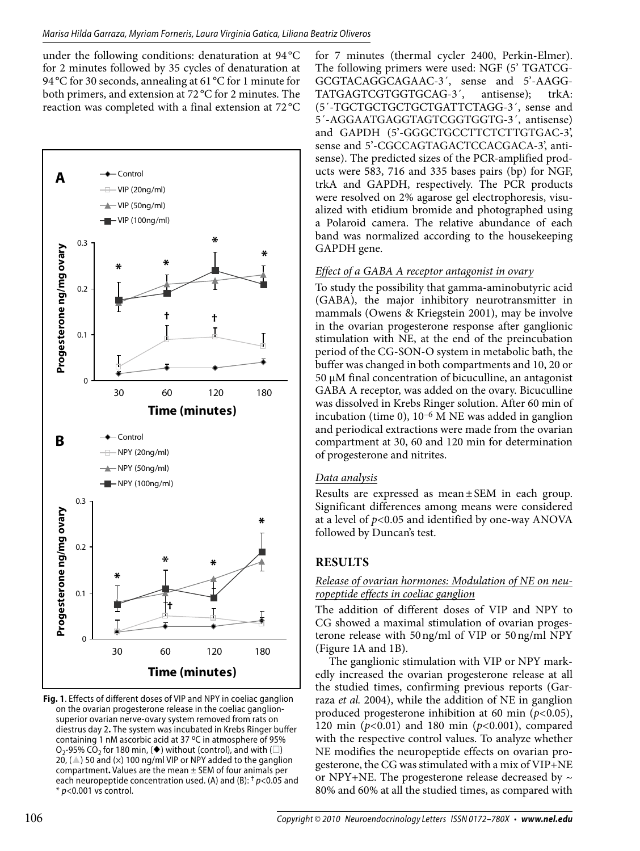under the following conditions: denaturation at 94 °C for 2 minutes followed by 35 cycles of denaturation at 94 °C for 30 seconds, annealing at 61 °C for 1 minute for both primers, and extension at 72 °C for 2 minutes. The reaction was completed with a final extension at 72 °C



**Fig. 1**. Effects of different doses of VIP and NPY in coeliac ganglion on the ovarian progesterone release in the coeliac ganglionsuperior ovarian nerve-ovary system removed from rats on diestrus day 2**.** The system was incubated in Krebs Ringer buffer containing 1 nM ascorbic acid at 37 °C in atmosphere of 95%  $O_2$ -95% CO<sub>2</sub> for 180 min, ( $\blacklozenge$ ) without (control), and with ( $\square$ )  $2\overline{0}$ , ( $\triangle$ ) 50 and ( $\times$ ) 100 ng/ml VIP or NPY added to the ganglion compartment**.** Values are the mean ± SEM of four animals per each neuropeptide concentration used. (A) and (B): † *p<*0.05 and \* *p<*0.001 vs control.

for 7 minutes (thermal cycler 2400, Perkin-Elmer). The following primers were used: NGF (5' TGATCG-GCGTACAGGCAGAAC-3´, sense and 5'-AAGG-TATGAGTCGTGGTGCAG-3´, antisense); trkA: (5´-TGCTGCTGCTGCTGATTCTAGG-3´, sense and 5´-AGGAATGAGGTAGTCGGTGGTG-3´, antisense) and GAPDH (5'-GGGCTGCCTTCTCTTGTGAC-3', sense and 5'-CGCCAGTAGACTCCACGACA-3', antisense). The predicted sizes of the PCR-amplified products were 583, 716 and 335 bases pairs (bp) for NGF, trkA and GAPDH, respectively. The PCR products were resolved on 2% agarose gel electrophoresis, visualized with etidium bromide and photographed using a Polaroid camera. The relative abundance of each band was normalized according to the housekeeping GAPDH gene.

#### *Effect of a GABA A receptor antagonist in ovary*

To study the possibility that gamma-aminobutyric acid (GABA), the major inhibitory neurotransmitter in mammals (Owens & Kriegstein 2001), may be involve in the ovarian progesterone response after ganglionic stimulation with NE, at the end of the preincubation period of the CG-SON-O system in metabolic bath, the buffer was changed in both compartments and 10, 20 or 50 μM final concentration of bicuculline, an antagonist GABA A receptor, was added on the ovary. Bicuculline was dissolved in Krebs Ringer solution. After 60 min of incubation (time 0), 10–6 M NE was added in ganglion and periodical extractions were made from the ovarian compartment at 30, 60 and 120 min for determination of progesterone and nitrites.

#### *Data analysis*

Results are expressed as mean±SEM in each group. Significant differences among means were considered at a level of *p<*0.05 and identified by one-way ANOVA followed by Duncan's test.

## **Results**

#### *Release of ovarian hormones: Modulation of NE on neuropeptide effects in coeliac ganglion*

The addition of different doses of VIP and NPY to CG showed a maximal stimulation of ovarian progesterone release with 50ng/ml of VIP or 50ng/ml NPY (Figure 1A and 1B).

The ganglionic stimulation with VIP or NPY markedly increased the ovarian progesterone release at all the studied times, confirming previous reports (Garraza *et al.* 2004), while the addition of NE in ganglion produced progesterone inhibition at 60 min (*p<*0.05), 120 min (*p<*0.01) and 180 min (*p<*0.001), compared with the respective control values. To analyze whether NE modifies the neuropeptide effects on ovarian progesterone, the CG was stimulated with a mix of VIP+NE or NPY+NE. The progesterone release decreased by  $\sim$ 80% and 60% at all the studied times, as compared with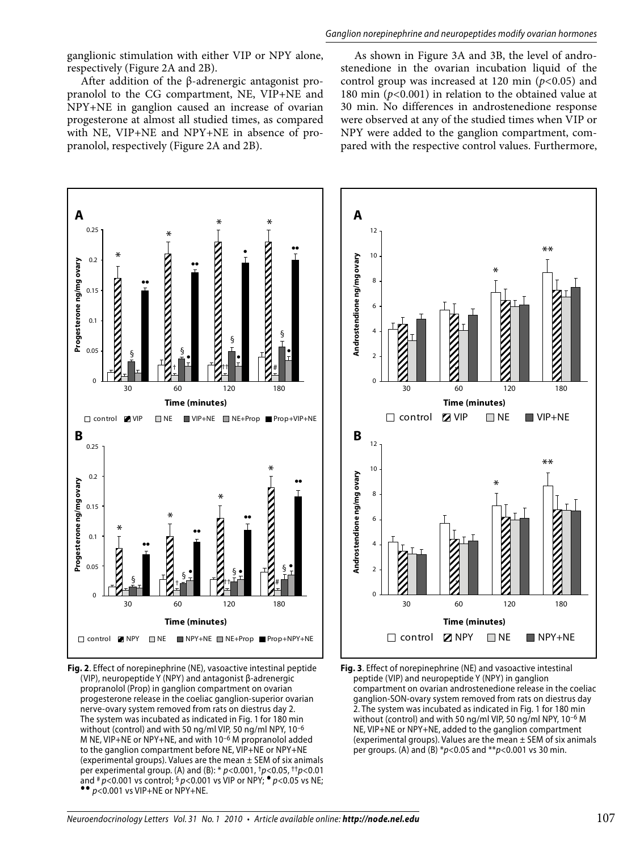*Ganglion norepinephrine and neuropeptides modify ovarian hormones*

ganglionic stimulation with either VIP or NPY alone, respectively (Figure 2A and 2B).

After addition of the β-adrenergic antagonist propranolol to the CG compartment, NE, VIP+NE and NPY+NE in ganglion caused an increase of ovarian progesterone at almost all studied times, as compared with NE, VIP+NE and NPY+NE in absence of propranolol, respectively (Figure 2A and 2B).

As shown in Figure 3A and 3B, the level of androstenedione in the ovarian incubation liquid of the control group was increased at 120 min (*p<*0.05) and 180 min (*p<*0.001) in relation to the obtained value at 30 min. No differences in androstenedione response were observed at any of the studied times when VIP or NPY were added to the ganglion compartment, compared with the respective control values. Furthermore,



**Fig. 2**. Effect of norepinephrine (NE), vasoactive intestinal peptide (VIP), neuropeptide Y (NPY) and antagonist β-adrenergic propranolol (Prop) in ganglion compartment on ovarian progesterone release in the coeliac ganglion-superior ovarian nerve-ovary system removed from rats on diestrus day 2. The system was incubated as indicated in Fig. 1 for 180 min without (control) and with 50 ng/ml VIP, 50 ng/ml NPY, 10–6 M NE, VIP+NE or NPY+NE, and with 10–6 M propranolol added to the ganglion compartment before NE, VIP+NE or NPY+NE (experimental groups). Values are the mean  $\pm$  SEM of six animals per experimental group. (A) and (B): \* *p<*0.001, †*p<*0.05, ††*p<*0.01 and # *p<*0.001 vs control; § *p<*0.001 vs VIP or NPY; *p<*0.05 vs NE; *p<*0.001 vs VIP+NE or NPY+NE.



**Fig. 3**. Effect of norepinephrine (NE) and vasoactive intestinal peptide (VIP) and neuropeptide Y (NPY) in ganglion compartment on ovarian androstenedione release in the coeliac ganglion-SON-ovary system removed from rats on diestrus day 2. The system was incubated as indicated in Fig. 1 for 180 min without (control) and with 50 ng/ml VIP, 50 ng/ml NPY, 10–6 M NE, VIP+NE or NPY+NE, added to the ganglion compartment (experimental groups). Values are the mean  $\pm$  SEM of six animals per groups. (A) and (B) \**p<*0.05 and \*\**p<*0.001 vs 30 min.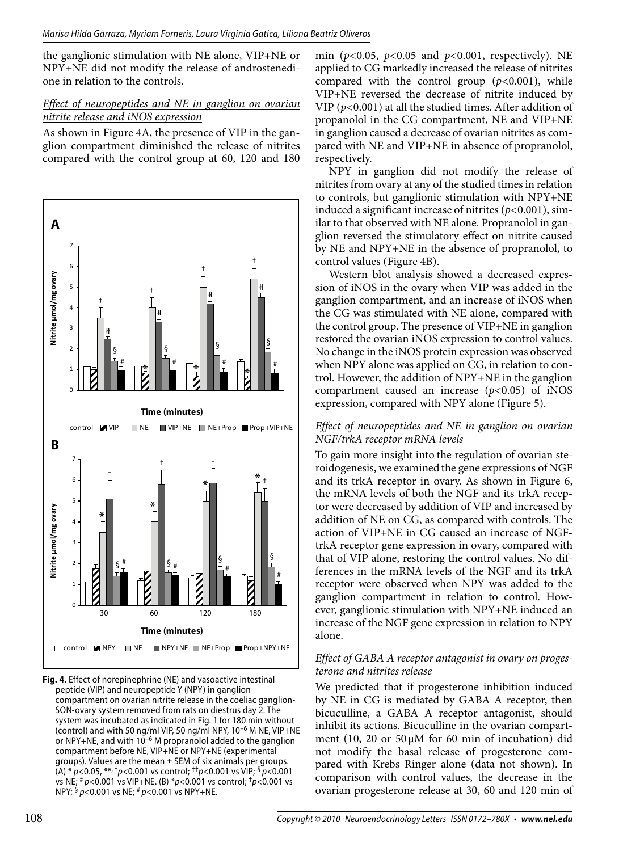the ganglionic stimulation with NE alone, VIP+NE or NPY+NE did not modify the release of androstenedione in relation to the controls.

#### *Effect of neuropeptides and NE in ganglion on ovarian nitrite release and iNOS expression*

As shown in Figure 4A, the presence of VIP in the ganglion compartment diminished the release of nitrites compared with the control group at 60, 120 and 180



**Fig. 4.** Effect of norepinephrine (NE) and vasoactive intestinal peptide (VIP) and neuropeptide Y (NPY) in ganglion compartment on ovarian nitrite release in the coeliac ganglion-SON-ovary system removed from rats on diestrus day 2. The system was incubated as indicated in Fig. 1 for 180 min without (control) and with 50 ng/ml VIP, 50 ng/ml NPY, 10–6 M NE, VIP+NE or NPY+NE, and with  $10^{-6}$  M propranolol added to the ganglion compartment before NE, VIP+NE or NPY+NE (experimental groups). Values are the mean  $\pm$  SEM of six animals per groups. (A) \* *p<*0.05, \*\*, †*p<*0.001 vs control; ††*p<*0.001 vs VIP; § *p<*0.001 vs NE; # *p<*0.001 vs VIP+NE. (B) \**p<*0.001 vs control; †*p<*0.001 vs NPY; § *p<*0.001 vs NE; # *p<*0.001 vs NPY+NE.

min (*p<*0.05, *p<*0.05 and *p<*0.001, respectively). NE applied to CG markedly increased the release of nitrites compared with the control group (*p<*0.001), while VIP+NE reversed the decrease of nitrite induced by VIP (*p<*0.001) at all the studied times. After addition of propanolol in the CG compartment, NE and VIP+NE in ganglion caused a decrease of ovarian nitrites as compared with NE and VIP+NE in absence of propranolol, respectively.

NPY in ganglion did not modify the release of nitrites from ovary at any of the studied times in relation to controls, but ganglionic stimulation with NPY+NE induced a significant increase of nitrites (*p<*0.001), similar to that observed with NE alone. Propranolol in ganglion reversed the stimulatory effect on nitrite caused by NE and NPY+NE in the absence of propranolol, to control values (Figure 4B).

Western blot analysis showed a decreased expression of iNOS in the ovary when VIP was added in the ganglion compartment, and an increase of iNOS when the CG was stimulated with NE alone, compared with the control group. The presence of VIP+NE in ganglion restored the ovarian iNOS expression to control values. No change in the iNOS protein expression was observed when NPY alone was applied on CG, in relation to control. However, the addition of NPY+NE in the ganglion compartment caused an increase (*p<*0.05) of iNOS expression, compared with NPY alone (Figure 5).

#### *Effect of neuropeptides and NE in ganglion on ovarian NGF/trkA receptor mRNA levels*

To gain more insight into the regulation of ovarian steroidogenesis, we examined the gene expressions of NGF and its trkA receptor in ovary. As shown in Figure 6, the mRNA levels of both the NGF and its trkA receptor were decreased by addition of VIP and increased by addition of NE on CG, as compared with controls. The action of VIP+NE in CG caused an increase of NGFtrkA receptor gene expression in ovary, compared with that of VIP alone, restoring the control values. No differences in the mRNA levels of the NGF and its trkA receptor were observed when NPY was added to the ganglion compartment in relation to control. However, ganglionic stimulation with NPY+NE induced an increase of the NGF gene expression in relation to NPY alone.

### *Effect of GABA A receptor antagonist in ovary on progesterone and nitrites release*

We predicted that if progesterone inhibition induced by NE in CG is mediated by GABA A receptor, then bicuculline, a GABA A receptor antagonist, should inhibit its actions. Bicuculline in the ovarian compartment (10, 20 or 50μM for 60 min of incubation) did not modify the basal release of progesterone compared with Krebs Ringer alone (data not shown). In comparison with control values, the decrease in the ovarian progesterone release at 30, 60 and 120 min of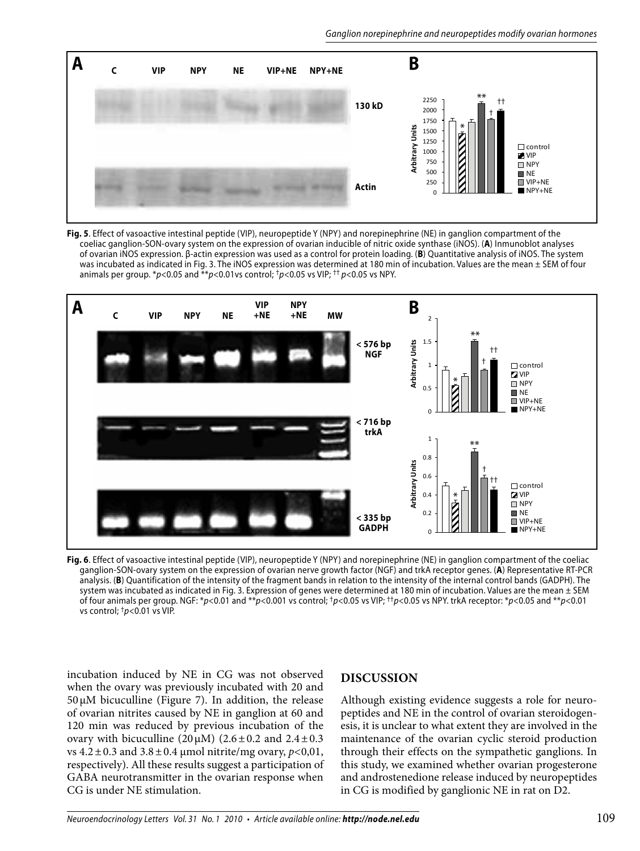

**Fig. 5**. Effect of vasoactive intestinal peptide (VIP), neuropeptide Y (NPY) and norepinephrine (NE) in ganglion compartment of the coeliac ganglion-SON-ovary system on the expression of ovarian inducible of nitric oxide synthase (iNOS). (**A**) Inmunoblot analyses of ovarian iNOS expression. β-actin expression was used as a control for protein loading. (**B**) Quantitative analysis of iNOS. The system was incubated as indicated in Fig. 3. The iNOS expression was determined at 180 min of incubation. Values are the mean ± SEM of four animals per group. \**p<*0.05 and \*\**p<*0.01vs control; †*p<*0.05 vs VIP; †† *p<*0.05 vs NPY.



**Fig. 6**. Effect of vasoactive intestinal peptide (VIP), neuropeptide Y (NPY) and norepinephrine (NE) in ganglion compartment of the coeliac ganglion-SON-ovary system on the expression of ovarian nerve growth factor (NGF) and trkA receptor genes. (**A**) Representative RT-PCR analysis. (**B**) Quantification of the intensity of the fragment bands in relation to the intensity of the internal control bands (GADPH). The system was incubated as indicated in Fig. 3. Expression of genes were determined at 180 min of incubation. Values are the mean ± SEM of four animals per group. NGF: \**p<*0.01 and \*\**p<*0.001 vs control; †*p<*0.05 vs VIP; ††*p<*0.05 vs NPY. trkA receptor: \**p<*0.05 and \*\**p<*0.01 vs control; †*p<*0.01 vs VIP.

incubation induced by NE in CG was not observed when the ovary was previously incubated with 20 and  $50 \mu$ M bicuculline (Figure 7). In addition, the release of ovarian nitrites caused by NE in ganglion at 60 and 120 min was reduced by previous incubation of the ovary with bicuculline ( $20 \mu$ M) ( $2.6 \pm 0.2$  and  $2.4 \pm 0.3$ vs 4.2±0.3 and 3.8±0.4 μmol nitrite/mg ovary, *p<*0,01, respectively). All these results suggest a participation of GABA neurotransmitter in the ovarian response when CG is under NE stimulation.

#### **Discussion**

Although existing evidence suggests a role for neuropeptides and NE in the control of ovarian steroidogenesis, it is unclear to what extent they are involved in the maintenance of the ovarian cyclic steroid production through their effects on the sympathetic ganglions. In this study, we examined whether ovarian progesterone and androstenedione release induced by neuropeptides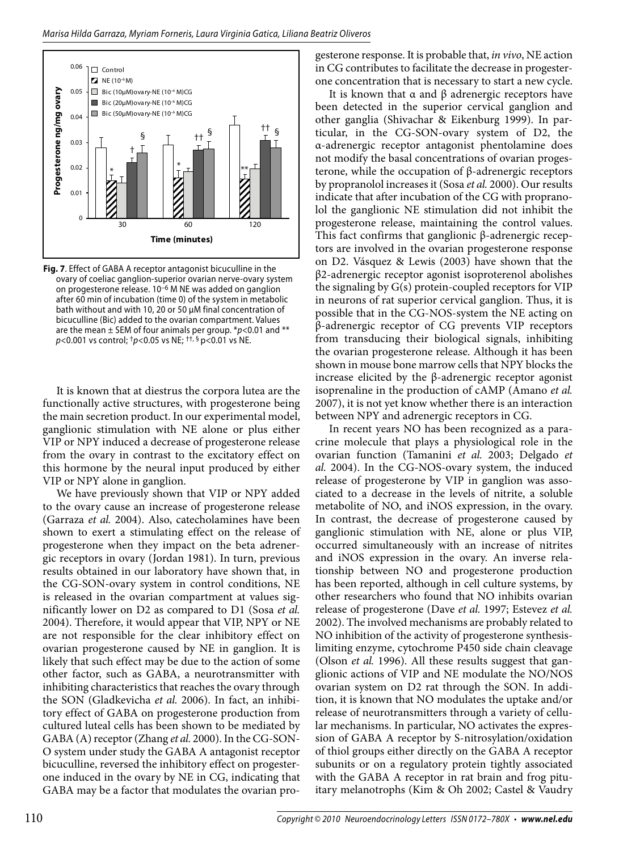

**Fig. 7**. Effect of GABA A receptor antagonist bicuculline in the ovary of coeliac ganglion-superior ovarian nerve-ovary system on progesterone release. 10–6 M NE was added on ganglion after 60 min of incubation (time 0) of the system in metabolic bath without and with 10, 20 or 50 μM final concentration of bicuculline (Bic) added to the ovarian compartment. Values are the mean ± SEM of four animals per group. \**p<*0.01 and \*\* *p<*0.001 vs control; †*p<*0.05 vs NE; ††, § p<0.01 vs NE.

It is known that at diestrus the corpora lutea are the functionally active structures, with progesterone being the main secretion product. In our experimental model, ganglionic stimulation with NE alone or plus either VIP or NPY induced a decrease of progesterone release from the ovary in contrast to the excitatory effect on this hormone by the neural input produced by either VIP or NPY alone in ganglion.

We have previously shown that VIP or NPY added to the ovary cause an increase of progesterone release (Garraza *et al.* 2004). Also, catecholamines have been shown to exert a stimulating effect on the release of progesterone when they impact on the beta adrenergic receptors in ovary (Jordan 1981). In turn, previous results obtained in our laboratory have shown that, in the CG-SON-ovary system in control conditions, NE is released in the ovarian compartment at values significantly lower on D2 as compared to D1 (Sosa *et al.* 2004). Therefore, it would appear that VIP, NPY or NE are not responsible for the clear inhibitory effect on ovarian progesterone caused by NE in ganglion. It is likely that such effect may be due to the action of some other factor, such as GABA, a neurotransmitter with inhibiting characteristics that reaches the ovary through the SON (Gladkevicha *et al.* 2006). In fact, an inhibitory effect of GABA on progesterone production from cultured luteal cells has been shown to be mediated by GABA (A) receptor (Zhang *et al.* 2000). In the CG-SON-O system under study the GABA A antagonist receptor bicuculline, reversed the inhibitory effect on progesterone induced in the ovary by NE in CG, indicating that GABA may be a factor that modulates the ovarian progesterone response. It is probable that, *in vivo*, NE action in CG contributes to facilitate the decrease in progesterone concentration that is necessary to start a new cycle.

It is known that  $\alpha$  and  $\beta$  adrenergic receptors have been detected in the superior cervical ganglion and other ganglia (Shivachar & Eikenburg 1999). In particular, in the CG-SON-ovary system of D2, the α-adrenergic receptor antagonist phentolamine does not modify the basal concentrations of ovarian progesterone, while the occupation of β-adrenergic receptors by propranolol increases it (Sosa *et al.* 2000). Our results indicate that after incubation of the CG with propranolol the ganglionic NE stimulation did not inhibit the progesterone release, maintaining the control values. This fact confirms that ganglionic β-adrenergic receptors are involved in the ovarian progesterone response on D2. Vásquez & Lewis (2003) have shown that the β2-adrenergic receptor agonist isoproterenol abolishes the signaling by G(s) protein-coupled receptors for VIP in neurons of rat superior cervical ganglion. Thus, it is possible that in the CG-NOS-system the NE acting on β-adrenergic receptor of CG prevents VIP receptors from transducing their biological signals, inhibiting the ovarian progesterone release. Although it has been shown in mouse bone marrow cells that NPY blocks the increase elicited by the β-adrenergic receptor agonist isoprenaline in the production of cAMP (Amano *et al.* 2007), it is not yet know whether there is an interaction between NPY and adrenergic receptors in CG.

In recent years NO has been recognized as a paracrine molecule that plays a physiological role in the ovarian function (Tamanini *et al.* 2003; Delgado *et al.* 2004). In the CG-NOS-ovary system, the induced release of progesterone by VIP in ganglion was associated to a decrease in the levels of nitrite, a soluble metabolite of NO, and iNOS expression, in the ovary. In contrast, the decrease of progesterone caused by ganglionic stimulation with NE, alone or plus VIP, occurred simultaneously with an increase of nitrites and iNOS expression in the ovary. An inverse relationship between NO and progesterone production has been reported, although in cell culture systems, by other researchers who found that NO inhibits ovarian release of progesterone (Dave *et al.* 1997; Estevez *et al.* 2002). The involved mechanisms are probably related to NO inhibition of the activity of progesterone synthesislimiting enzyme, cytochrome P450 side chain cleavage (Olson *et al.* 1996). All these results suggest that ganglionic actions of VIP and NE modulate the NO/NOS ovarian system on D2 rat through the SON. In addition, it is known that NO modulates the uptake and/or release of neurotransmitters through a variety of cellular mechanisms. In particular, NO activates the expression of GABA A receptor by S-nitrosylation/oxidation of thiol groups either directly on the GABA A receptor subunits or on a regulatory protein tightly associated with the GABA A receptor in rat brain and frog pituitary melanotrophs (Kim & Oh 2002; Castel & Vaudry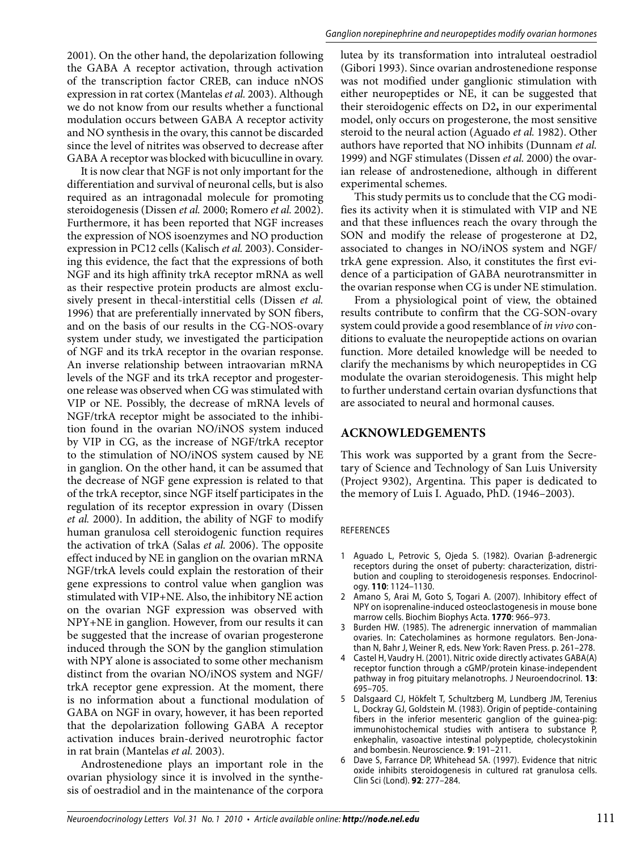2001). On the other hand, the depolarization following the GABA A receptor activation, through activation of the transcription factor CREB, can induce nNOS expression in rat cortex (Mantelas *et al.* 2003). Although we do not know from our results whether a functional modulation occurs between GABA A receptor activity and NO synthesis in the ovary, this cannot be discarded since the level of nitrites was observed to decrease after GABA A receptor was blocked with bicuculline in ovary.

It is now clear that NGF is not only important for the differentiation and survival of neuronal cells, but is also required as an intragonadal molecule for promoting steroidogenesis (Dissen *et al.* 2000; Romero *et al.* 2002). Furthermore, it has been reported that NGF increases the expression of NOS isoenzymes and NO production expression in PC12 cells (Kalisch *et al.* 2003). Considering this evidence, the fact that the expressions of both NGF and its high affinity trkA receptor mRNA as well as their respective protein products are almost exclusively present in thecal-interstitial cells (Dissen *et al.* 1996) that are preferentially innervated by SON fibers, and on the basis of our results in the CG-NOS-ovary system under study, we investigated the participation of NGF and its trkA receptor in the ovarian response. An inverse relationship between intraovarian mRNA levels of the NGF and its trkA receptor and progesterone release was observed when CG was stimulated with VIP or NE. Possibly, the decrease of mRNA levels of NGF/trkA receptor might be associated to the inhibition found in the ovarian NO/iNOS system induced by VIP in CG, as the increase of NGF/trkA receptor to the stimulation of NO/iNOS system caused by NE in ganglion. On the other hand, it can be assumed that the decrease of NGF gene expression is related to that of the trkA receptor, since NGF itself participates in the regulation of its receptor expression in ovary (Dissen *et al.* 2000). In addition, the ability of NGF to modify human granulosa cell steroidogenic function requires the activation of trkA (Salas *et al.* 2006). The opposite effect induced by NE in ganglion on the ovarian mRNA NGF/trkA levels could explain the restoration of their gene expressions to control value when ganglion was stimulated with VIP+NE. Also, the inhibitory NE action on the ovarian NGF expression was observed with NPY+NE in ganglion. However, from our results it can be suggested that the increase of ovarian progesterone induced through the SON by the ganglion stimulation with NPY alone is associated to some other mechanism distinct from the ovarian NO/iNOS system and NGF/ trkA receptor gene expression. At the moment, there is no information about a functional modulation of GABA on NGF in ovary, however, it has been reported that the depolarization following GABA A receptor activation induces brain-derived neurotrophic factor in rat brain (Mantelas *et al.* 2003).

Androstenedione plays an important role in the ovarian physiology since it is involved in the synthesis of oestradiol and in the maintenance of the corpora

lutea by its transformation into intraluteal oestradiol (Gibori 1993). Since ovarian androstenedione response was not modified under ganglionic stimulation with either neuropeptides or NE, it can be suggested that their steroidogenic effects on D2**,** in our experimental model, only occurs on progesterone, the most sensitive steroid to the neural action (Aguado *et al.* 1982). Other authors have reported that NO inhibits (Dunnam *et al.* 1999) and NGF stimulates (Dissen *et al.* 2000) the ovarian release of androstenedione, although in different experimental schemes.

This study permits us to conclude that the CG modifies its activity when it is stimulated with VIP and NE and that these influences reach the ovary through the SON and modify the release of progesterone at D2, associated to changes in NO/iNOS system and NGF/ trkA gene expression. Also, it constitutes the first evidence of a participation of GABA neurotransmitter in the ovarian response when CG is under NE stimulation.

From a physiological point of view, the obtained results contribute to confirm that the CG-SON-ovary system could provide a good resemblance of *in vivo* conditions to evaluate the neuropeptide actions on ovarian function. More detailed knowledge will be needed to clarify the mechanisms by which neuropeptides in CG modulate the ovarian steroidogenesis. This might help to further understand certain ovarian dysfunctions that are associated to neural and hormonal causes.

#### **Acknowledgements**

This work was supported by a grant from the Secretary of Science and Technology of San Luis University (Project 9302), Argentina. This paper is dedicated to the memory of Luis I. Aguado, PhD. (1946–2003).

#### **REFERENCES**

- 1 Aguado L, Petrovic S, Ojeda S. (1982). Ovarian β-adrenergic receptors during the onset of puberty: characterization, distribution and coupling to steroidogenesis responses. Endocrinology. **110**: 1124–1130.
- 2 Amano S, Arai M, Goto S, Togari A. (2007). Inhibitory effect of NPY on isoprenaline-induced osteoclastogenesis in mouse bone marrow cells. Biochim Biophys Acta. **1770**: 966–973.
- 3 Burden HW. (1985). The adrenergic innervation of mammalian ovaries. In: Catecholamines as hormone regulators. Ben-Jonathan N, Bahr J, Weiner R, eds. New York: Raven Press. p. 261–278.
- 4 Castel H, Vaudry H. (2001). Nitric oxide directly activates GABA(A) receptor function through a cGMP/protein kinase-independent pathway in frog pituitary melanotrophs. J Neuroendocrinol. **13**: 695–705.
- 5 Dalsgaard CJ, Hökfelt T, Schultzberg M, Lundberg JM, Terenius L, Dockray GJ, Goldstein M. (1983). Origin of peptide-containing fibers in the inferior mesenteric ganglion of the guinea-pig: immunohistochemical studies with antisera to substance P, enkephalin, vasoactive intestinal polypeptide, cholecystokinin and bombesin. Neuroscience. **9**: 191–211.
- 6 Dave S, Farrance DP, Whitehead SA. (1997). Evidence that nitric oxide inhibits steroidogenesis in cultured rat granulosa cells. Clin Sci (Lond). **92**: 277–284.